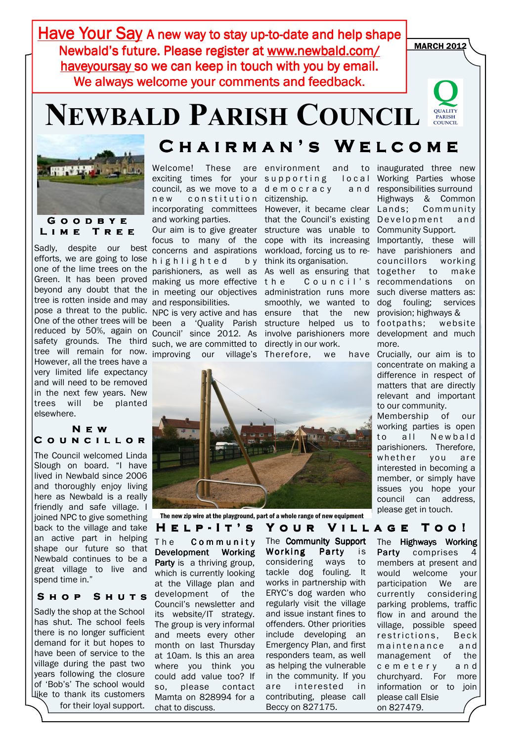Have Your Say A new way to stay up-to-date and help shape Newbald's future. Please register at www.newbald.com/ haveyoursay so we can keep in touch with you by email. We always welcome your comments and feedback.

# NEWBALD PARISH COUNCIL



efforts, we are going to lose highlighted by one of the lime trees on the parishioners, as well as beyond any doubt that the in meeting our objectives pose a threat to the public. NPC is very active and has ensure that the new One of the other trees will be been a 'Quality Parish structure helped us to reduced by 50%, again on Council' since 2012. As involve parishioners more development and much safety grounds. The third such, we are committed to directly in our work. tree will remain for now improving our village's Therefore, we have Sadly, despite our best Green. It has been proved tree is rotten inside and may However, all the trees have a very limited life expectancy and will need to be removed in the next few years. New trees will be planted elsewhere.

### N e w COUNCILLOR

The Council welcomed Linda Slough on board. "I have lived in Newbald since 2006 and thoroughly enjoy living here as Newbald is a really friendly and safe village. I joined NPC to give something back to the village and take an active part in helping shape our future so that Newbald continues to be a great village to live and spend time in."

### SHOP SHUTS

Sadly the shop at the School has shut. The school feels there is no longer sufficient demand for it but hopes to have been of service to the village during the past two years following the closure of 'Bob's' The school would like to thank its customers

### C H A I R M A N 'S W E L C O M E

new constitution citizenship. incorporating committees However, it became clear and working parties.

concerns and aspirations making us more effective and responsibilities.

Welcome! These are environment and to exciting times for your supporting local council, as we move to a democracy and

Our aim is to give greater structure was unable to focus to many of the cope with its increasing that the Council's existing Development and workload, forcing us to rethink its organisation.

the Council's administration runs more smoothly, we wanted to



The new zip wire at the playground, part of a whole range of new equipment

The **Community** Development Working Party is a thriving group, which is currently looking at the Village plan and development of the Council's newsletter and its website/IT strategy. The group is very informal and meets every other month on last Thursday at 10am. Is this an area where you think you could add value too? If so, please contact Mamta on 828994 for a chat to discuss. for their loyal support. chat to discuss. Beccy on 827175. on 827479.

The Community Support Working Party is considering ways to tackle dog fouling. It works in partnership with ERYC's dog warden who regularly visit the village and issue instant fines to offenders. Other priorities include developing an Emergency Plan, and first responders team, as well as helping the vulnerable in the community. If you are interested in contributing, please call Beccy on 827175.

As well as ensuring that together to make to inaugurated three new Working Parties whose responsibilities surround Highways & Common Community Community Support. Importantly, these will have parishioners and councillors working recommendations on such diverse matters as: dog fouling; services provision; highways & footpaths; website more.

Crucially, our aim is to concentrate on making a difference in respect of matters that are directly relevant and important to our community.

Membership of our working parties is open to all Newbald parishioners. Therefore, whether you are interested in becoming a member, or simply have issues you hope your council can address, please get in touch.

### HELP-IT'S YOUR VILLAGE TOO!

The Highways Working Party comprises 4 members at present and would welcome your participation We are currently considering parking problems, traffic flow in and around the village, possible speed restrictions. Beck maintenance and management of the c e m e t e r y a n d churchyard. For more information or to join please call Elsie

## MARCH 2012